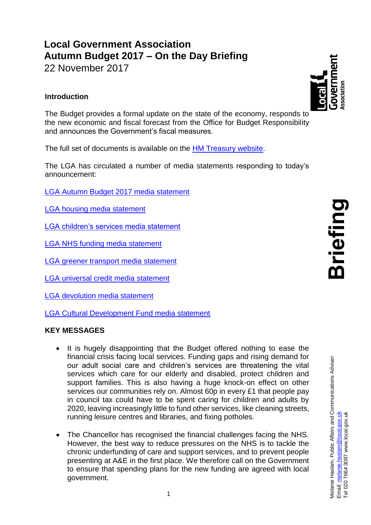# **Local Government Association Autumn Budget 2017 – On the Day Briefing**

22 November 2017

# **Introduction**

The Budget provides a formal update on the state of the economy, responds to the new economic and fiscal forecast from the Office for Budget Responsibility and announces the Government's fiscal measures.

The full set of documents is available on the [HM Treasury website.](https://www.gov.uk/government/publications/autumn-budget-2017-documents)

The LGA has circulated a number of media statements responding to today's announcement:

[LGA Autumn Budget 2017 media statement](https://www.local.gov.uk/about/news/lga-responds-autumn-budget-2017)

[LGA housing media statement](https://www.local.gov.uk/about/news/budget-2017-lga-responds-housing-measures)

[LGA children's services media statement](https://www.local.gov.uk/about/news/budget-2017-councils-react-no-extra-childrens-services-funding)

[LGA NHS funding media statement](https://www.local.gov.uk/about/news/budget-2017-councils-respond-announcement-new-funding-nhs)

[LGA greener transport media](https://www.local.gov.uk/about/news/budget-2017-lga-responds-greener-transport-measures) statement

[LGA universal credit media statement](https://www.local.gov.uk/about/news/budget-2017-lga-responds-universal-credit-announcement)

[LGA devolution media statement](https://www.local.gov.uk/about/news/budget-2017-lga-responds-devolution-deals)

[LGA Cultural Development Fund media statement](https://www.local.gov.uk/about/news/budget-2017-lga-responds-cultural-development-fund-announcement)

# **KEY MESSAGES**

- It is hugely disappointing that the Budget offered nothing to ease the financial crisis facing local services. Funding gaps and rising demand for our adult social care and children's services are threatening the vital services which care for our elderly and disabled, protect children and support families. This is also having a huge knock-on effect on other services our communities rely on. Almost 60p in every £1 that people pay in council tax could have to be spent caring for children and adults by 2020, leaving increasingly little to fund other services, like cleaning streets, running leisure centres and libraries, and fixing potholes.
- The Chancellor has recognised the financial challenges facing the NHS. However, the best way to reduce pressures on the NHS is to tackle the chronic underfunding of care and support services, and to prevent people presenting at A&E in the first place. We therefore call on the Government to ensure that spending plans for the new funding are agreed with local government.

**Briefing**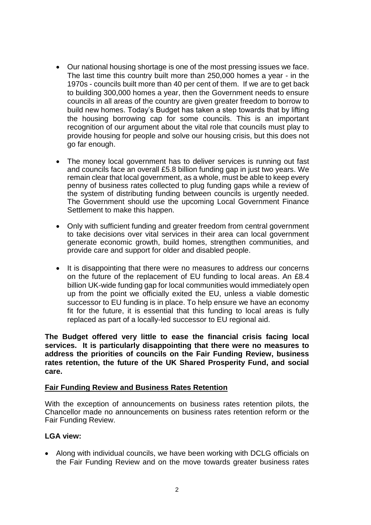- Our national housing shortage is one of the most pressing issues we face. The last time this country built more than 250,000 homes a year - in the 1970s - councils built more than 40 per cent of them. If we are to get back to building 300,000 homes a year, then the Government needs to ensure councils in all areas of the country are given greater freedom to borrow to build new homes. Today's Budget has taken a step towards that by lifting the housing borrowing cap for some councils. This is an important recognition of our argument about the vital role that councils must play to provide housing for people and solve our housing crisis, but this does not go far enough.
- The money local government has to deliver services is running out fast and councils face an overall £5.8 billion funding gap in just two years. We remain clear that local government, as a whole, must be able to keep every penny of business rates collected to plug funding gaps while a review of the system of distributing funding between councils is urgently needed. The Government should use the upcoming Local Government Finance Settlement to make this happen.
- Only with sufficient funding and greater freedom from central government to take decisions over vital services in their area can local government generate economic growth, build homes, strengthen communities, and provide care and support for older and disabled people.
- It is disappointing that there were no measures to address our concerns on the future of the replacement of EU funding to local areas. An £8.4 billion UK-wide funding gap for local communities would immediately open up from the point we officially exited the EU, unless a viable domestic successor to EU funding is in place. To help ensure we have an economy fit for the future, it is essential that this funding to local areas is fully replaced as part of a locally-led successor to EU regional aid.

**The Budget offered very little to ease the financial crisis facing local services. It is particularly disappointing that there were no measures to address the priorities of councils on the Fair Funding Review, business rates retention, the future of the UK Shared Prosperity Fund, and social care.**

#### **Fair Funding Review and Business Rates Retention**

With the exception of announcements on business rates retention pilots, the Chancellor made no announcements on business rates retention reform or the Fair Funding Review.

#### **LGA view:**

 Along with individual councils, we have been working with DCLG officials on the Fair Funding Review and on the move towards greater business rates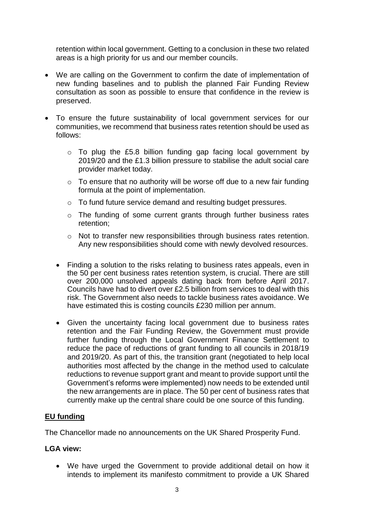retention within local government. Getting to a conclusion in these two related areas is a high priority for us and our member councils.

- We are calling on the Government to confirm the date of implementation of new funding baselines and to publish the planned Fair Funding Review consultation as soon as possible to ensure that confidence in the review is preserved.
- To ensure the future sustainability of local government services for our communities, we recommend that business rates retention should be used as follows:
	- o To plug the £5.8 billion funding gap facing local government by 2019/20 and the £1.3 billion pressure to stabilise the adult social care provider market today.
	- $\circ$  To ensure that no authority will be worse off due to a new fair funding formula at the point of implementation.
	- o To fund future service demand and resulting budget pressures.
	- o The funding of some current grants through further business rates retention;
	- o Not to transfer new responsibilities through business rates retention. Any new responsibilities should come with newly devolved resources.
	- Finding a solution to the risks relating to business rates appeals, even in the 50 per cent business rates retention system, is crucial. There are still over 200,000 unsolved appeals dating back from before April 2017. Councils have had to divert over £2.5 billion from services to deal with this risk. The Government also needs to tackle business rates avoidance. We have estimated this is costing councils £230 million per annum.
	- Given the uncertainty facing local government due to business rates retention and the Fair Funding Review, the Government must provide further funding through the Local Government Finance Settlement to reduce the pace of reductions of grant funding to all councils in 2018/19 and 2019/20. As part of this, the transition grant (negotiated to help local authorities most affected by the change in the method used to calculate reductions to revenue support grant and meant to provide support until the Government's reforms were implemented) now needs to be extended until the new arrangements are in place. The 50 per cent of business rates that currently make up the central share could be one source of this funding.

#### **EU funding**

The Chancellor made no announcements on the UK Shared Prosperity Fund.

#### **LGA view:**

 We have urged the Government to provide additional detail on how it intends to implement its manifesto commitment to provide a UK Shared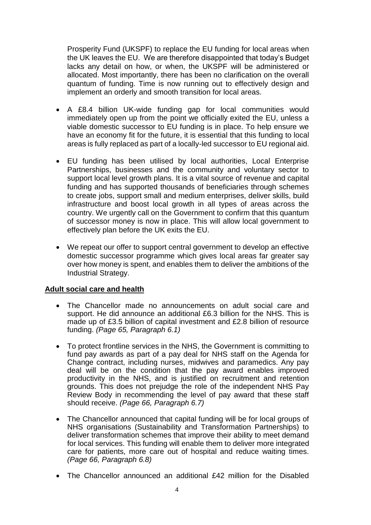Prosperity Fund (UKSPF) to replace the EU funding for local areas when the UK leaves the EU. We are therefore disappointed that today's Budget lacks any detail on how, or when, the UKSPF will be administered or allocated. Most importantly, there has been no clarification on the overall quantum of funding. Time is now running out to effectively design and implement an orderly and smooth transition for local areas.

- A £8.4 billion UK-wide funding gap for local communities would immediately open up from the point we officially exited the EU, unless a viable domestic successor to EU funding is in place. To help ensure we have an economy fit for the future, it is essential that this funding to local areas is fully replaced as part of a locally-led successor to EU regional aid.
- EU funding has been utilised by local authorities, Local Enterprise Partnerships, businesses and the community and voluntary sector to support local level growth plans. It is a vital source of revenue and capital funding and has supported thousands of beneficiaries through schemes to create jobs, support small and medium enterprises, deliver skills, build infrastructure and boost local growth in all types of areas across the country. We urgently call on the Government to confirm that this quantum of successor money is now in place. This will allow local government to effectively plan before the UK exits the EU.
- We repeat our offer to support central government to develop an effective domestic successor programme which gives local areas far greater say over how money is spent, and enables them to deliver the ambitions of the Industrial Strategy.

#### **Adult social care and health**

- The Chancellor made no announcements on adult social care and support. He did announce an additional £6.3 billion for the NHS. This is made up of £3.5 billion of capital investment and £2.8 billion of resource funding. *(Page 65, Paragraph 6.1)*
- To protect frontline services in the NHS, the Government is committing to fund pay awards as part of a pay deal for NHS staff on the Agenda for Change contract, including nurses, midwives and paramedics. Any pay deal will be on the condition that the pay award enables improved productivity in the NHS, and is justified on recruitment and retention grounds. This does not prejudge the role of the independent NHS Pay Review Body in recommending the level of pay award that these staff should receive. *(Page 66, Paragraph 6.7)*
- The Chancellor announced that capital funding will be for local groups of NHS organisations (Sustainability and Transformation Partnerships) to deliver transformation schemes that improve their ability to meet demand for local services. This funding will enable them to deliver more integrated care for patients, more care out of hospital and reduce waiting times. *(Page 66, Paragraph 6.8)*
- The Chancellor announced an additional £42 million for the Disabled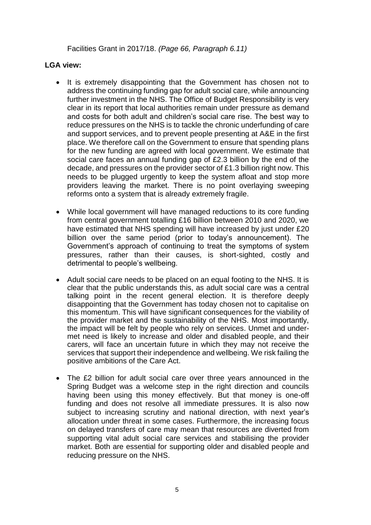Facilities Grant in 2017/18. *(Page 66, Paragraph 6.11)*

- It is extremely disappointing that the Government has chosen not to address the continuing funding gap for adult social care, while announcing further investment in the NHS. The Office of Budget Responsibility is very clear in its report that local authorities remain under pressure as demand and costs for both adult and children's social care rise. The best way to reduce pressures on the NHS is to tackle the chronic underfunding of care and support services, and to prevent people presenting at A&E in the first place. We therefore call on the Government to ensure that spending plans for the new funding are agreed with local government. We estimate that social care faces an annual funding gap of £2.3 billion by the end of the decade, and pressures on the provider sector of £1.3 billion right now. This needs to be plugged urgently to keep the system afloat and stop more providers leaving the market. There is no point overlaying sweeping reforms onto a system that is already extremely fragile.
- While local government will have managed reductions to its core funding from central government totalling £16 billion between 2010 and 2020, we have estimated that NHS spending will have increased by just under £20 billion over the same period (prior to today's announcement). The Government's approach of continuing to treat the symptoms of system pressures, rather than their causes, is short-sighted, costly and detrimental to people's wellbeing.
- Adult social care needs to be placed on an equal footing to the NHS. It is clear that the public understands this, as adult social care was a central talking point in the recent general election. It is therefore deeply disappointing that the Government has today chosen not to capitalise on this momentum. This will have significant consequences for the viability of the provider market and the sustainability of the NHS. Most importantly, the impact will be felt by people who rely on services. Unmet and undermet need is likely to increase and older and disabled people, and their carers, will face an uncertain future in which they may not receive the services that support their independence and wellbeing. We risk failing the positive ambitions of the Care Act.
- The £2 billion for adult social care over three years announced in the Spring Budget was a welcome step in the right direction and councils having been using this money effectively. But that money is one-off funding and does not resolve all immediate pressures. It is also now subject to increasing scrutiny and national direction, with next year's allocation under threat in some cases. Furthermore, the increasing focus on delayed transfers of care may mean that resources are diverted from supporting vital adult social care services and stabilising the provider market. Both are essential for supporting older and disabled people and reducing pressure on the NHS.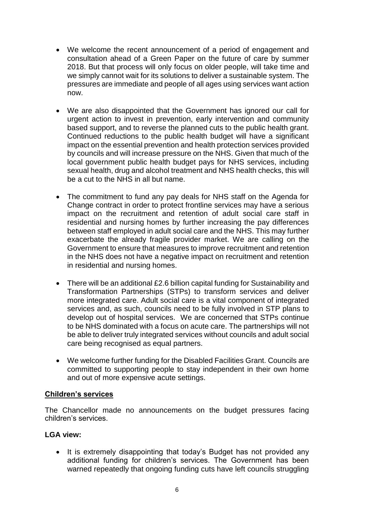- We welcome the recent announcement of a period of engagement and consultation ahead of a Green Paper on the future of care by summer 2018. But that process will only focus on older people, will take time and we simply cannot wait for its solutions to deliver a sustainable system. The pressures are immediate and people of all ages using services want action now.
- We are also disappointed that the Government has ignored our call for urgent action to invest in prevention, early intervention and community based support, and to reverse the planned cuts to the public health grant. Continued reductions to the public health budget will have a significant impact on the essential prevention and health protection services provided by councils and will increase pressure on the NHS. Given that much of the local government public health budget pays for NHS services, including sexual health, drug and alcohol treatment and NHS health checks, this will be a cut to the NHS in all but name.
- The commitment to fund any pay deals for NHS staff on the Agenda for Change contract in order to protect frontline services may have a serious impact on the recruitment and retention of adult social care staff in residential and nursing homes by further increasing the pay differences between staff employed in adult social care and the NHS. This may further exacerbate the already fragile provider market. We are calling on the Government to ensure that measures to improve recruitment and retention in the NHS does not have a negative impact on recruitment and retention in residential and nursing homes.
- There will be an additional £2.6 billion capital funding for Sustainability and Transformation Partnerships (STPs) to transform services and deliver more integrated care. Adult social care is a vital component of integrated services and, as such, councils need to be fully involved in STP plans to develop out of hospital services. We are concerned that STPs continue to be NHS dominated with a focus on acute care. The partnerships will not be able to deliver truly integrated services without councils and adult social care being recognised as equal partners.
- We welcome further funding for the Disabled Facilities Grant. Councils are committed to supporting people to stay independent in their own home and out of more expensive acute settings.

#### **Children's services**

The Chancellor made no announcements on the budget pressures facing children's services.

#### **LGA view:**

• It is extremely disappointing that today's Budget has not provided any additional funding for children's services. The Government has been warned repeatedly that ongoing funding cuts have left councils struggling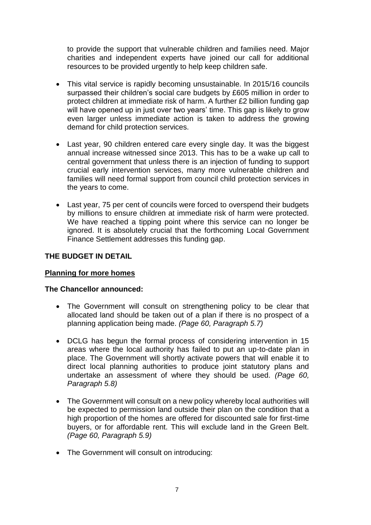to provide the support that vulnerable children and families need. Major charities and independent experts have joined our call for additional resources to be provided urgently to help keep children safe.

- This vital service is rapidly becoming unsustainable. In 2015/16 councils surpassed their children's social care budgets by £605 million in order to protect children at immediate risk of harm. A further £2 billion funding gap will have opened up in just over two years' time. This gap is likely to grow even larger unless immediate action is taken to address the growing demand for child protection services.
- Last year, 90 children entered care every single day. It was the biggest annual increase witnessed since 2013. This has to be a wake up call to central government that unless there is an injection of funding to support crucial early intervention services, many more vulnerable children and families will need formal support from council child protection services in the years to come.
- Last year, 75 per cent of councils were forced to overspend their budgets by millions to ensure children at immediate risk of harm were protected. We have reached a tipping point where this service can no longer be ignored. It is absolutely crucial that the forthcoming Local Government Finance Settlement addresses this funding gap.

# **THE BUDGET IN DETAIL**

#### **Planning for more homes**

- The Government will consult on strengthening policy to be clear that allocated land should be taken out of a plan if there is no prospect of a planning application being made. *(Page 60, Paragraph 5.7)*
- DCLG has begun the formal process of considering intervention in 15 areas where the local authority has failed to put an up-to-date plan in place. The Government will shortly activate powers that will enable it to direct local planning authorities to produce joint statutory plans and undertake an assessment of where they should be used. *(Page 60, Paragraph 5.8)*
- The Government will consult on a new policy whereby local authorities will be expected to permission land outside their plan on the condition that a high proportion of the homes are offered for discounted sale for first-time buyers, or for affordable rent. This will exclude land in the Green Belt. *(Page 60, Paragraph 5.9)*
- The Government will consult on introducing: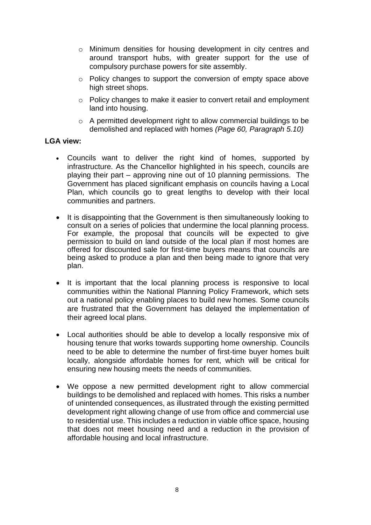- o Minimum densities for housing development in city centres and around transport hubs, with greater support for the use of compulsory purchase powers for site assembly.
- o Policy changes to support the conversion of empty space above high street shops.
- o Policy changes to make it easier to convert retail and employment land into housing.
- o A permitted development right to allow commercial buildings to be demolished and replaced with homes *(Page 60, Paragraph 5.10)*

- Councils want to deliver the right kind of homes, supported by infrastructure. As the Chancellor highlighted in his speech, councils are playing their part – approving nine out of 10 planning permissions. The Government has placed significant emphasis on councils having a Local Plan, which councils go to great lengths to develop with their local communities and partners.
- It is disappointing that the Government is then simultaneously looking to consult on a series of policies that undermine the local planning process. For example, the proposal that councils will be expected to give permission to build on land outside of the local plan if most homes are offered for discounted sale for first-time buyers means that councils are being asked to produce a plan and then being made to ignore that very plan.
- It is important that the local planning process is responsive to local communities within the National Planning Policy Framework, which sets out a national policy enabling places to build new homes. Some councils are frustrated that the Government has delayed the implementation of their agreed local plans.
- Local authorities should be able to develop a locally responsive mix of housing tenure that works towards supporting home ownership. Councils need to be able to determine the number of first-time buyer homes built locally, alongside affordable homes for rent, which will be critical for ensuring new housing meets the needs of communities.
- We oppose a new permitted development right to allow commercial buildings to be demolished and replaced with homes. This risks a number of unintended consequences, as illustrated through the existing permitted development right allowing change of use from office and commercial use to residential use. This includes a reduction in viable office space, housing that does not meet housing need and a reduction in the provision of affordable housing and local infrastructure.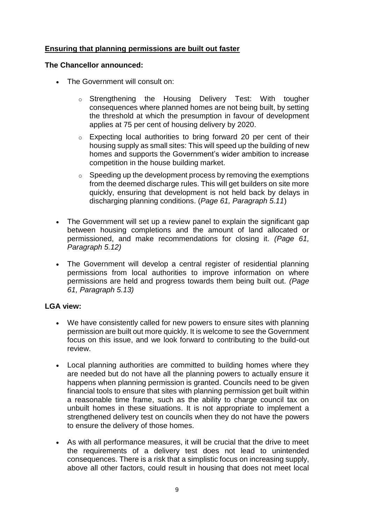# **Ensuring that planning permissions are built out faster**

#### **The Chancellor announced:**

- The Government will consult on:
	- o Strengthening the Housing Delivery Test: With tougher consequences where planned homes are not being built, by setting the threshold at which the presumption in favour of development applies at 75 per cent of housing delivery by 2020.
	- o Expecting local authorities to bring forward 20 per cent of their housing supply as small sites: This will speed up the building of new homes and supports the Government's wider ambition to increase competition in the house building market.
	- $\circ$  Speeding up the development process by removing the exemptions from the deemed discharge rules. This will get builders on site more quickly, ensuring that development is not held back by delays in discharging planning conditions. (*Page 61, Paragraph 5.11*)
- The Government will set up a review panel to explain the significant gap between housing completions and the amount of land allocated or permissioned, and make recommendations for closing it. *(Page 61, Paragraph 5.12)*
- The Government will develop a central register of residential planning permissions from local authorities to improve information on where permissions are held and progress towards them being built out. *(Page 61, Paragraph 5.13)*

- We have consistently called for new powers to ensure sites with planning permission are built out more quickly. It is welcome to see the Government focus on this issue, and we look forward to contributing to the build-out review.
- Local planning authorities are committed to building homes where they are needed but do not have all the planning powers to actually ensure it happens when planning permission is granted. Councils need to be given financial tools to ensure that sites with planning permission get built within a reasonable time frame, such as the ability to charge council tax on unbuilt homes in these situations. It is not appropriate to implement a strengthened delivery test on councils when they do not have the powers to ensure the delivery of those homes.
- As with all performance measures, it will be crucial that the drive to meet the requirements of a delivery test does not lead to unintended consequences. There is a risk that a simplistic focus on increasing supply, above all other factors, could result in housing that does not meet local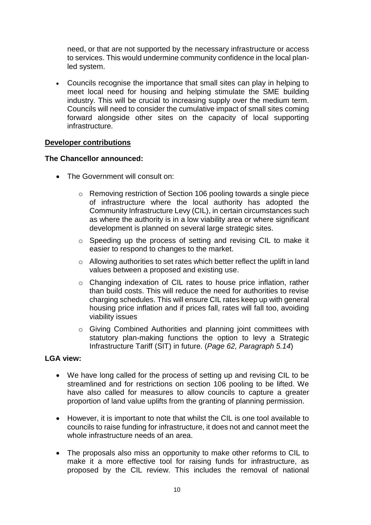need, or that are not supported by the necessary infrastructure or access to services. This would undermine community confidence in the local planled system.

 Councils recognise the importance that small sites can play in helping to meet local need for housing and helping stimulate the SME building industry. This will be crucial to increasing supply over the medium term. Councils will need to consider the cumulative impact of small sites coming forward alongside other sites on the capacity of local supporting infrastructure.

#### **Developer contributions**

#### **The Chancellor announced:**

- The Government will consult on:
	- o Removing restriction of Section 106 pooling towards a single piece of infrastructure where the local authority has adopted the Community Infrastructure Levy (CIL), in certain circumstances such as where the authority is in a low viability area or where significant development is planned on several large strategic sites.
	- o Speeding up the process of setting and revising CIL to make it easier to respond to changes to the market.
	- o Allowing authorities to set rates which better reflect the uplift in land values between a proposed and existing use.
	- o Changing indexation of CIL rates to house price inflation, rather than build costs. This will reduce the need for authorities to revise charging schedules. This will ensure CIL rates keep up with general housing price inflation and if prices fall, rates will fall too, avoiding viability issues
	- o Giving Combined Authorities and planning joint committees with statutory plan-making functions the option to levy a Strategic Infrastructure Tariff (SIT) in future. (*Page 62, Paragraph 5.14*)

- We have long called for the process of setting up and revising CIL to be streamlined and for restrictions on section 106 pooling to be lifted. We have also called for measures to allow councils to capture a greater proportion of land value uplifts from the granting of planning permission.
- However, it is important to note that whilst the CIL is one tool available to councils to raise funding for infrastructure, it does not and cannot meet the whole infrastructure needs of an area.
- The proposals also miss an opportunity to make other reforms to CIL to make it a more effective tool for raising funds for infrastructure, as proposed by the CIL review. This includes the removal of national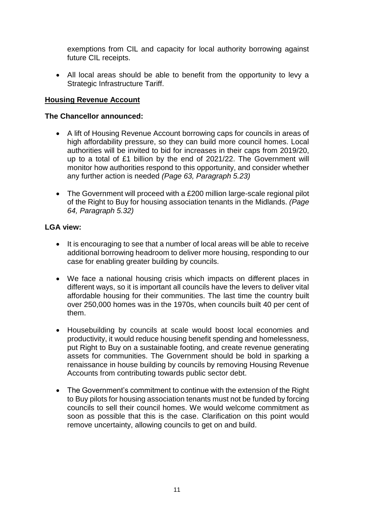exemptions from CIL and capacity for local authority borrowing against future CIL receipts.

 All local areas should be able to benefit from the opportunity to levy a Strategic Infrastructure Tariff.

#### **Housing Revenue Account**

#### **The Chancellor announced:**

- A lift of Housing Revenue Account borrowing caps for councils in areas of high affordability pressure, so they can build more council homes. Local authorities will be invited to bid for increases in their caps from 2019/20, up to a total of £1 billion by the end of 2021/22. The Government will monitor how authorities respond to this opportunity, and consider whether any further action is needed *(Page 63, Paragraph 5.23)*
- The Government will proceed with a £200 million large-scale regional pilot of the Right to Buy for housing association tenants in the Midlands. *(Page 64, Paragraph 5.32)*

- It is encouraging to see that a number of local areas will be able to receive additional borrowing headroom to deliver more housing, responding to our case for enabling greater building by councils.
- We face a national housing crisis which impacts on different places in different ways, so it is important all councils have the levers to deliver vital affordable housing for their communities. The last time the country built over 250,000 homes was in the 1970s, when councils built 40 per cent of them.
- Housebuilding by councils at scale would boost local economies and productivity, it would reduce housing benefit spending and homelessness, put Right to Buy on a sustainable footing, and create revenue generating assets for communities. The Government should be bold in sparking a renaissance in house building by councils by removing Housing Revenue Accounts from contributing towards public sector debt.
- The Government's commitment to continue with the extension of the Right to Buy pilots for housing association tenants must not be funded by forcing councils to sell their council homes. We would welcome commitment as soon as possible that this is the case. Clarification on this point would remove uncertainty, allowing councils to get on and build.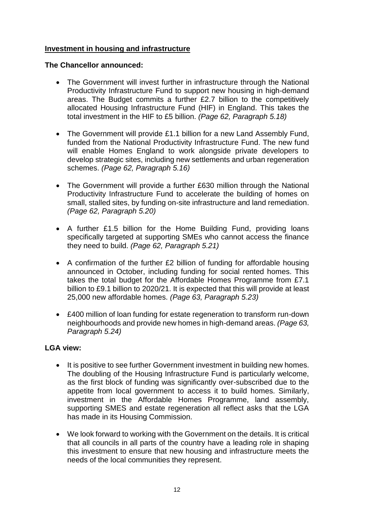# **Investment in housing and infrastructure**

# **The Chancellor announced:**

- The Government will invest further in infrastructure through the National Productivity Infrastructure Fund to support new housing in high-demand areas. The Budget commits a further £2.7 billion to the competitively allocated Housing Infrastructure Fund (HIF) in England. This takes the total investment in the HIF to £5 billion. *(Page 62, Paragraph 5.18)*
- The Government will provide £1.1 billion for a new Land Assembly Fund, funded from the National Productivity Infrastructure Fund. The new fund will enable Homes England to work alongside private developers to develop strategic sites, including new settlements and urban regeneration schemes. *(Page 62, Paragraph 5.16)*
- The Government will provide a further £630 million through the National Productivity Infrastructure Fund to accelerate the building of homes on small, stalled sites, by funding on-site infrastructure and land remediation. *(Page 62, Paragraph 5.20)*
- A further £1.5 billion for the Home Building Fund, providing loans specifically targeted at supporting SMEs who cannot access the finance they need to build. *(Page 62, Paragraph 5.21)*
- A confirmation of the further £2 billion of funding for affordable housing announced in October, including funding for social rented homes. This takes the total budget for the Affordable Homes Programme from £7.1 billion to £9.1 billion to 2020/21. It is expected that this will provide at least 25,000 new affordable homes. *(Page 63, Paragraph 5.23)*
- £400 million of loan funding for estate regeneration to transform run-down neighbourhoods and provide new homes in high-demand areas. *(Page 63, Paragraph 5.24)*

- It is positive to see further Government investment in building new homes. The doubling of the Housing Infrastructure Fund is particularly welcome, as the first block of funding was significantly over-subscribed due to the appetite from local government to access it to build homes. Similarly, investment in the Affordable Homes Programme, land assembly, supporting SMES and estate regeneration all reflect asks that the LGA has made in its Housing Commission.
- We look forward to working with the Government on the details. It is critical that all councils in all parts of the country have a leading role in shaping this investment to ensure that new housing and infrastructure meets the needs of the local communities they represent.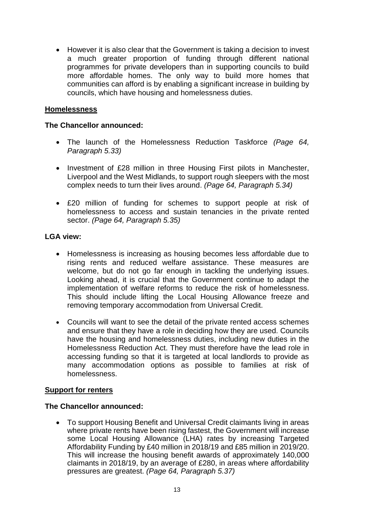However it is also clear that the Government is taking a decision to invest a much greater proportion of funding through different national programmes for private developers than in supporting councils to build more affordable homes. The only way to build more homes that communities can afford is by enabling a significant increase in building by councils, which have housing and homelessness duties.

#### **Homelessness**

#### **The Chancellor announced:**

- The launch of the Homelessness Reduction Taskforce *(Page 64, Paragraph 5.33)*
- Investment of £28 million in three Housing First pilots in Manchester, Liverpool and the West Midlands, to support rough sleepers with the most complex needs to turn their lives around. *(Page 64, Paragraph 5.34)*
- £20 million of funding for schemes to support people at risk of homelessness to access and sustain tenancies in the private rented sector. *(Page 64, Paragraph 5.35)*

#### **LGA view:**

- Homelessness is increasing as housing becomes less affordable due to rising rents and reduced welfare assistance. These measures are welcome, but do not go far enough in tackling the underlying issues. Looking ahead, it is crucial that the Government continue to adapt the implementation of welfare reforms to reduce the risk of homelessness. This should include lifting the Local Housing Allowance freeze and removing temporary accommodation from Universal Credit.
- Councils will want to see the detail of the private rented access schemes and ensure that they have a role in deciding how they are used. Councils have the housing and homelessness duties, including new duties in the Homelessness Reduction Act. They must therefore have the lead role in accessing funding so that it is targeted at local landlords to provide as many accommodation options as possible to families at risk of homelessness.

#### **Support for renters**

#### **The Chancellor announced:**

 To support Housing Benefit and Universal Credit claimants living in areas where private rents have been rising fastest, the Government will increase some Local Housing Allowance (LHA) rates by increasing Targeted Affordability Funding by £40 million in 2018/19 and £85 million in 2019/20. This will increase the housing benefit awards of approximately 140,000 claimants in 2018/19, by an average of £280, in areas where affordability pressures are greatest. *(Page 64, Paragraph 5.37)*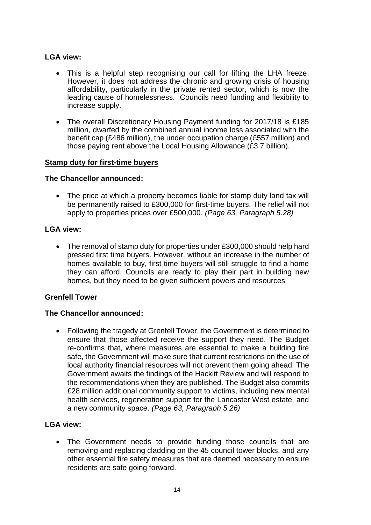- This is a helpful step recognising our call for lifting the LHA freeze. However, it does not address the chronic and growing crisis of housing affordability, particularly in the private rented sector, which is now the leading cause of homelessness. Councils need funding and flexibility to increase supply.
- The overall Discretionary Housing Payment funding for 2017/18 is £185 million, dwarfed by the combined annual income loss associated with the benefit cap (£486 million), the under occupation charge (£557 million) and those paying rent above the Local Housing Allowance (£3.7 billion).

#### **Stamp duty for first-time buyers**

#### **The Chancellor announced:**

• The price at which a property becomes liable for stamp duty land tax will be permanently raised to £300,000 for first-time buyers. The relief will not apply to properties prices over £500,000. *(Page 63, Paragraph 5.28)*

#### **LGA view:**

 The removal of stamp duty for properties under £300,000 should help hard pressed first time buyers. However, without an increase in the number of homes available to buy, first time buyers will still struggle to find a home they can afford. Councils are ready to play their part in building new homes, but they need to be given sufficient powers and resources.

#### **Grenfell Tower**

#### **The Chancellor announced:**

 Following the tragedy at Grenfell Tower, the Government is determined to ensure that those affected receive the support they need. The Budget re-confirms that, where measures are essential to make a building fire safe, the Government will make sure that current restrictions on the use of local authority financial resources will not prevent them going ahead. The Government awaits the findings of the Hackitt Review and will respond to the recommendations when they are published. The Budget also commits £28 million additional community support to victims, including new mental health services, regeneration support for the Lancaster West estate, and a new community space. *(Page 63, Paragraph 5.26)*

#### **LGA view:**

 The Government needs to provide funding those councils that are removing and replacing cladding on the 45 council tower blocks, and any other essential fire safety measures that are deemed necessary to ensure residents are safe going forward.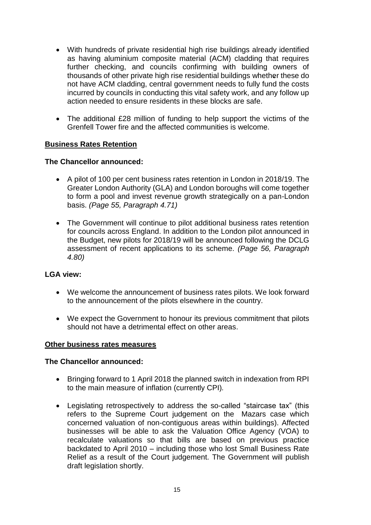- With hundreds of private residential high rise buildings already identified as having aluminium composite material (ACM) cladding that requires further checking, and councils confirming with building owners of thousands of other private high rise residential buildings whether these do not have ACM cladding, central government needs to fully fund the costs incurred by councils in conducting this vital safety work, and any follow up action needed to ensure residents in these blocks are safe.
- The additional £28 million of funding to help support the victims of the Grenfell Tower fire and the affected communities is welcome.

# **Business Rates Retention**

#### **The Chancellor announced:**

- A pilot of 100 per cent business rates retention in London in 2018/19. The Greater London Authority (GLA) and London boroughs will come together to form a pool and invest revenue growth strategically on a pan-London basis. *(Page 55, Paragraph 4.71)*
- The Government will continue to pilot additional business rates retention for councils across England. In addition to the London pilot announced in the Budget, new pilots for 2018/19 will be announced following the DCLG assessment of recent applications to its scheme. *(Page 56, Paragraph 4.80)*

#### **LGA view:**

- We welcome the announcement of business rates pilots. We look forward to the announcement of the pilots elsewhere in the country.
- We expect the Government to honour its previous commitment that pilots should not have a detrimental effect on other areas.

#### **Other business rates measures**

- Bringing forward to 1 April 2018 the planned switch in indexation from RPI to the main measure of inflation (currently CPI)*.*
- Legislating retrospectively to address the so-called "staircase tax" (this refers to the Supreme Court judgement on the Mazars case which concerned valuation of non-contiguous areas within buildings). Affected businesses will be able to ask the Valuation Office Agency (VOA) to recalculate valuations so that bills are based on previous practice backdated to April 2010 – including those who lost Small Business Rate Relief as a result of the Court judgement. The Government will publish draft legislation shortly.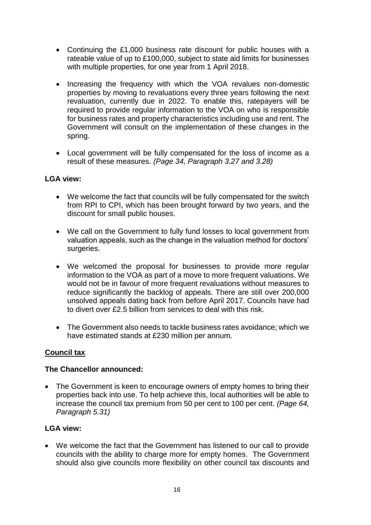- Continuing the £1,000 business rate discount for public houses with a rateable value of up to £100,000, subject to state aid limits for businesses with multiple properties, for one year from 1 April 2018.
- Increasing the frequency with which the VOA revalues non-domestic properties by moving to revaluations every three years following the next revaluation, currently due in 2022. To enable this, ratepayers will be required to provide regular information to the VOA on who is responsible for business rates and property characteristics including use and rent. The Government will consult on the implementation of these changes in the spring.
- Local government will be fully compensated for the loss of income as a result of these measures. *(Page 34, Paragraph 3.27 and 3.28)*

- We welcome the fact that councils will be fully compensated for the switch from RPI to CPI, which has been brought forward by two years, and the discount for small public houses.
- We call on the Government to fully fund losses to local government from valuation appeals, such as the change in the valuation method for doctors' surgeries.
- We welcomed the proposal for businesses to provide more regular information to the VOA as part of a move to more frequent valuations. We would not be in favour of more frequent revaluations without measures to reduce significantly the backlog of appeals. There are still over 200,000 unsolved appeals dating back from before April 2017. Councils have had to divert over £2.5 billion from services to deal with this risk.
- The Government also needs to tackle business rates avoidance; which we have estimated stands at £230 million per annum.

#### **Council tax**

#### **The Chancellor announced:**

• The Government is keen to encourage owners of empty homes to bring their properties back into use. To help achieve this, local authorities will be able to increase the council tax premium from 50 per cent to 100 per cent. *(Page 64, Paragraph 5.31)*

# **LGA view:**

 We welcome the fact that the Government has listened to our call to provide councils with the ability to charge more for empty homes. The Government should also give councils more flexibility on other council tax discounts and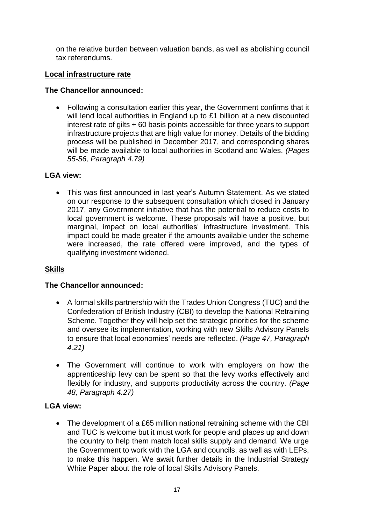on the relative burden between valuation bands, as well as abolishing council tax referendums.

# **Local infrastructure rate**

# **The Chancellor announced:**

 Following a consultation earlier this year, the Government confirms that it will lend local authorities in England up to £1 billion at a new discounted interest rate of gilts + 60 basis points accessible for three years to support infrastructure projects that are high value for money. Details of the bidding process will be published in December 2017, and corresponding shares will be made available to local authorities in Scotland and Wales. *(Pages 55-56, Paragraph 4.79)*

# **LGA view:**

 This was first announced in last year's Autumn Statement. As we stated on our response to the subsequent consultation which closed in January 2017, any Government initiative that has the potential to reduce costs to local government is welcome. These proposals will have a positive, but marginal, impact on local authorities' infrastructure investment. This impact could be made greater if the amounts available under the scheme were increased, the rate offered were improved, and the types of qualifying investment widened.

# **Skills**

# **The Chancellor announced:**

- A formal skills partnership with the Trades Union Congress (TUC) and the Confederation of British Industry (CBI) to develop the National Retraining Scheme. Together they will help set the strategic priorities for the scheme and oversee its implementation, working with new Skills Advisory Panels to ensure that local economies' needs are reflected. *(Page 47, Paragraph 4.21)*
- The Government will continue to work with employers on how the apprenticeship levy can be spent so that the levy works effectively and flexibly for industry, and supports productivity across the country. *(Page 48, Paragraph 4.27)*

# **LGA view:**

• The development of a £65 million national retraining scheme with the CBI and TUC is welcome but it must work for people and places up and down the country to help them match local skills supply and demand. We urge the Government to work with the LGA and councils, as well as with LEPs, to make this happen. We await further details in the Industrial Strategy White Paper about the role of local Skills Advisory Panels.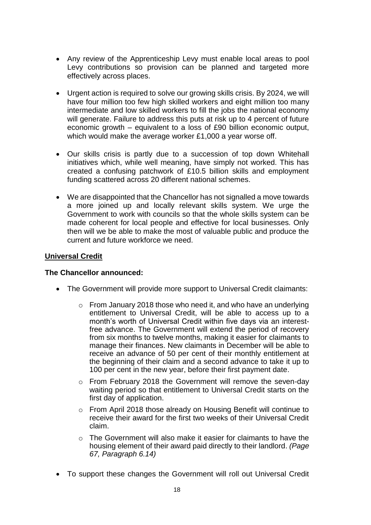- Any review of the Apprenticeship Levy must enable local areas to pool Levy contributions so provision can be planned and targeted more effectively across places.
- Urgent action is required to solve our growing skills crisis. By 2024, we will have four million too few high skilled workers and eight million too many intermediate and low skilled workers to fill the jobs the national economy will generate. Failure to address this puts at risk up to 4 percent of future economic growth – equivalent to a loss of £90 billion economic output, which would make the average worker £1,000 a year worse off.
- Our skills crisis is partly due to a succession of top down Whitehall initiatives which, while well meaning, have simply not worked. This has created a confusing patchwork of £10.5 billion skills and employment funding scattered across 20 different national schemes.
- We are disappointed that the Chancellor has not signalled a move towards a more joined up and locally relevant skills system. We urge the Government to work with councils so that the whole skills system can be made coherent for local people and effective for local businesses. Only then will we be able to make the most of valuable public and produce the current and future workforce we need.

#### **Universal Credit**

- The Government will provide more support to Universal Credit claimants:
	- o From January 2018 those who need it, and who have an underlying entitlement to Universal Credit, will be able to access up to a month's worth of Universal Credit within five days via an interestfree advance. The Government will extend the period of recovery from six months to twelve months, making it easier for claimants to manage their finances. New claimants in December will be able to receive an advance of 50 per cent of their monthly entitlement at the beginning of their claim and a second advance to take it up to 100 per cent in the new year, before their first payment date.
	- $\circ$  From February 2018 the Government will remove the seven-day waiting period so that entitlement to Universal Credit starts on the first day of application.
	- o From April 2018 those already on Housing Benefit will continue to receive their award for the first two weeks of their Universal Credit claim.
	- $\circ$  The Government will also make it easier for claimants to have the housing element of their award paid directly to their landlord. *(Page 67, Paragraph 6.14)*
- To support these changes the Government will roll out Universal Credit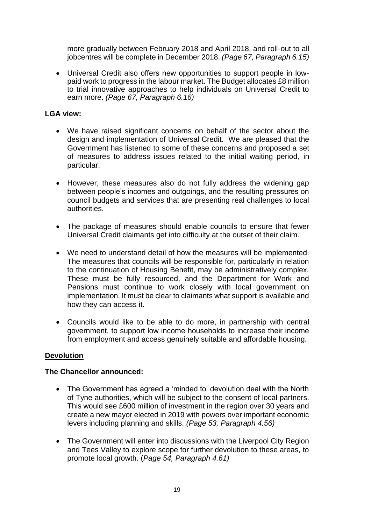more gradually between February 2018 and April 2018, and roll-out to all jobcentres will be complete in December 2018. *(Page 67, Paragraph 6.15)*

 Universal Credit also offers new opportunities to support people in lowpaid work to progress in the labour market. The Budget allocates £8 million to trial innovative approaches to help individuals on Universal Credit to earn more. *(Page 67, Paragraph 6.16)*

#### **LGA view:**

- We have raised significant concerns on behalf of the sector about the design and implementation of Universal Credit. We are pleased that the Government has listened to some of these concerns and proposed a set of measures to address issues related to the initial waiting period, in particular.
- However, these measures also do not fully address the widening gap between people's incomes and outgoings, and the resulting pressures on council budgets and services that are presenting real challenges to local authorities.
- The package of measures should enable councils to ensure that fewer Universal Credit claimants get into difficulty at the outset of their claim.
- We need to understand detail of how the measures will be implemented. The measures that councils will be responsible for, particularly in relation to the continuation of Housing Benefit, may be administratively complex. These must be fully resourced, and the Department for Work and Pensions must continue to work closely with local government on implementation. It must be clear to claimants what support is available and how they can access it.
- Councils would like to be able to do more, in partnership with central government, to support low income households to increase their income from employment and access genuinely suitable and affordable housing.

#### **Devolution**

- The Government has agreed a 'minded to' devolution deal with the North of Tyne authorities, which will be subject to the consent of local partners. This would see £600 million of investment in the region over 30 years and create a new mayor elected in 2019 with powers over important economic levers including planning and skills. *(Page 53, Paragraph 4.56)*
- The Government will enter into discussions with the Liverpool City Region and Tees Valley to explore scope for further devolution to these areas, to promote local growth. (*Page 54, Paragraph 4.61)*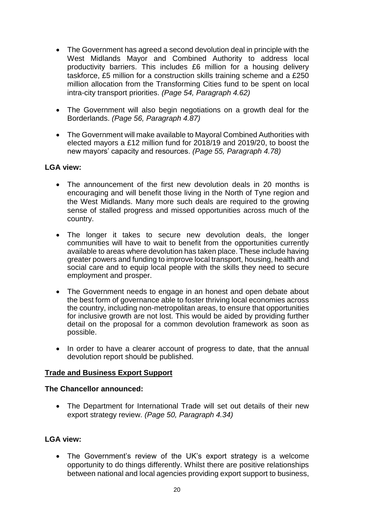- The Government has agreed a second devolution deal in principle with the West Midlands Mayor and Combined Authority to address local productivity barriers. This includes £6 million for a housing delivery taskforce, £5 million for a construction skills training scheme and a £250 million allocation from the Transforming Cities fund to be spent on local intra-city transport priorities. *(Page 54, Paragraph 4.62)*
- The Government will also begin negotiations on a growth deal for the Borderlands. *(Page 56, Paragraph 4.87)*
- The Government will make available to Mayoral Combined Authorities with elected mayors a £12 million fund for 2018/19 and 2019/20, to boost the new mayors' capacity and resources. *(Page 55, Paragraph 4.78)*

- The announcement of the first new devolution deals in 20 months is encouraging and will benefit those living in the North of Tyne region and the West Midlands. Many more such deals are required to the growing sense of stalled progress and missed opportunities across much of the country.
- The longer it takes to secure new devolution deals, the longer communities will have to wait to benefit from the opportunities currently available to areas where devolution has taken place. These include having greater powers and funding to improve local transport, housing, health and social care and to equip local people with the skills they need to secure employment and prosper.
- The Government needs to engage in an honest and open debate about the best form of governance able to foster thriving local economies across the country, including non-metropolitan areas, to ensure that opportunities for inclusive growth are not lost. This would be aided by providing further detail on the proposal for a common devolution framework as soon as possible.
- In order to have a clearer account of progress to date, that the annual devolution report should be published.

#### **Trade and Business Export Support**

#### **The Chancellor announced:**

 The Department for International Trade will set out details of their new export strategy review. *(Page 50, Paragraph 4.34)*

#### **LGA view:**

 The Government's review of the UK's export strategy is a welcome opportunity to do things differently. Whilst there are positive relationships between national and local agencies providing export support to business,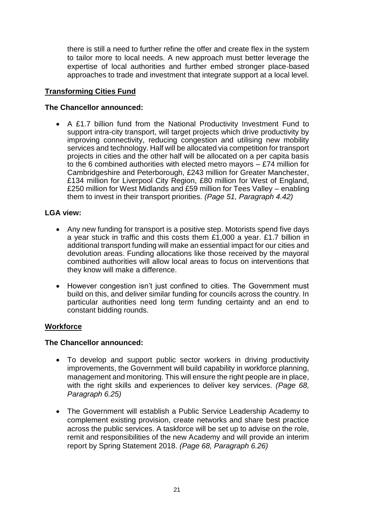there is still a need to further refine the offer and create flex in the system to tailor more to local needs. A new approach must better leverage the expertise of local authorities and further embed stronger place-based approaches to trade and investment that integrate support at a local level.

# **Transforming Cities Fund**

#### **The Chancellor announced:**

 A £1.7 billion fund from the National Productivity Investment Fund to support intra-city transport, will target projects which drive productivity by improving connectivity, reducing congestion and utilising new mobility services and technology. Half will be allocated via competition for transport projects in cities and the other half will be allocated on a per capita basis to the 6 combined authorities with elected metro mayors – £74 million for Cambridgeshire and Peterborough, £243 million for Greater Manchester, £134 million for Liverpool City Region, £80 million for West of England, £250 million for West Midlands and £59 million for Tees Valley – enabling them to invest in their transport priorities. *(Page 51, Paragraph 4.42)*

# **LGA view:**

- Any new funding for transport is a positive step. Motorists spend five days a year stuck in traffic and this costs them £1,000 a year. £1.7 billion in additional transport funding will make an essential impact for our cities and devolution areas. Funding allocations like those received by the mayoral combined authorities will allow local areas to focus on interventions that they know will make a difference.
- However congestion isn't just confined to cities. The Government must build on this, and deliver similar funding for councils across the country. In particular authorities need long term funding certainty and an end to constant bidding rounds.

#### **Workforce**

- To develop and support public sector workers in driving productivity improvements, the Government will build capability in workforce planning, management and monitoring. This will ensure the right people are in place, with the right skills and experiences to deliver key services. *(Page 68, Paragraph 6.25)*
- The Government will establish a Public Service Leadership Academy to complement existing provision, create networks and share best practice across the public services. A taskforce will be set up to advise on the role, remit and responsibilities of the new Academy and will provide an interim report by Spring Statement 2018. *(Page 68, Paragraph 6.26)*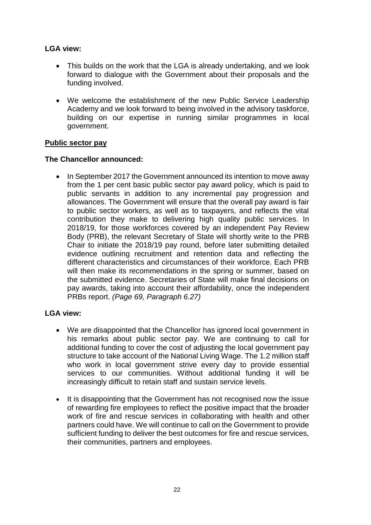- This builds on the work that the LGA is already undertaking, and we look forward to dialogue with the Government about their proposals and the funding involved.
- We welcome the establishment of the new Public Service Leadership Academy and we look forward to being involved in the advisory taskforce, building on our expertise in running similar programmes in local government.

#### **Public sector pay**

#### **The Chancellor announced:**

• In September 2017 the Government announced its intention to move away from the 1 per cent basic public sector pay award policy, which is paid to public servants in addition to any incremental pay progression and allowances. The Government will ensure that the overall pay award is fair to public sector workers, as well as to taxpayers, and reflects the vital contribution they make to delivering high quality public services. In 2018/19, for those workforces covered by an independent Pay Review Body (PRB), the relevant Secretary of State will shortly write to the PRB Chair to initiate the 2018/19 pay round, before later submitting detailed evidence outlining recruitment and retention data and reflecting the different characteristics and circumstances of their workforce. Each PRB will then make its recommendations in the spring or summer, based on the submitted evidence. Secretaries of State will make final decisions on pay awards, taking into account their affordability, once the independent PRBs report. *(Page 69, Paragraph 6.27)* 

- We are disappointed that the Chancellor has ignored local government in his remarks about public sector pay. We are continuing to call for additional funding to cover the cost of adjusting the local government pay structure to take account of the National Living Wage. The 1.2 million staff who work in local government strive every day to provide essential services to our communities. Without additional funding it will be increasingly difficult to retain staff and sustain service levels.
- It is disappointing that the Government has not recognised now the issue of rewarding fire employees to reflect the positive impact that the broader work of fire and rescue services in collaborating with health and other partners could have. We will continue to call on the Government to provide sufficient funding to deliver the best outcomes for fire and rescue services, their communities, partners and employees.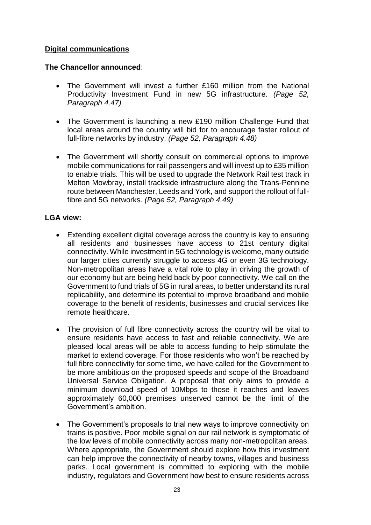# **Digital communications**

#### **The Chancellor announced**:

- The Government will invest a further £160 million from the National Productivity Investment Fund in new 5G infrastructure. *(Page 52, Paragraph 4.47)*
- The Government is launching a new £190 million Challenge Fund that local areas around the country will bid for to encourage faster rollout of full-fibre networks by industry. *(Page 52, Paragraph 4.48)*
- The Government will shortly consult on commercial options to improve mobile communications for rail passengers and will invest up to £35 million to enable trials. This will be used to upgrade the Network Rail test track in Melton Mowbray, install trackside infrastructure along the Trans-Pennine route between Manchester, Leeds and York, and support the rollout of fullfibre and 5G networks. *(Page 52, Paragraph 4.49)*

- Extending excellent digital coverage across the country is key to ensuring all residents and businesses have access to 21st century digital connectivity. While investment in 5G technology is welcome, many outside our larger cities currently struggle to access 4G or even 3G technology. Non-metropolitan areas have a vital role to play in driving the growth of our economy but are being held back by poor connectivity. We call on the Government to fund trials of 5G in rural areas, to better understand its rural replicability, and determine its potential to improve broadband and mobile coverage to the benefit of residents, businesses and crucial services like remote healthcare.
- The provision of full fibre connectivity across the country will be vital to ensure residents have access to fast and reliable connectivity. We are pleased local areas will be able to access funding to help stimulate the market to extend coverage. For those residents who won't be reached by full fibre connectivity for some time, we have called for the Government to be more ambitious on the proposed speeds and scope of the Broadband Universal Service Obligation. A proposal that only aims to provide a minimum download speed of 10Mbps to those it reaches and leaves approximately 60,000 premises unserved cannot be the limit of the Government's ambition.
- The Government's proposals to trial new ways to improve connectivity on trains is positive. Poor mobile signal on our rail network is symptomatic of the low levels of mobile connectivity across many non-metropolitan areas. Where appropriate, the Government should explore how this investment can help improve the connectivity of nearby towns, villages and business parks. Local government is committed to exploring with the mobile industry, regulators and Government how best to ensure residents across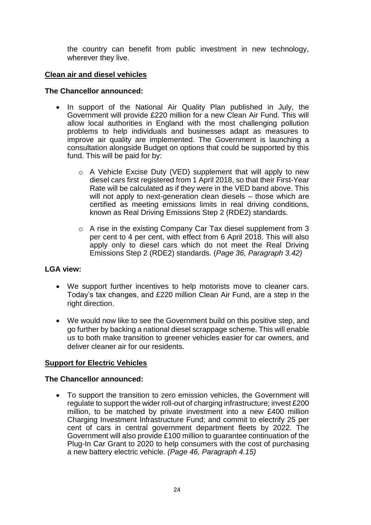the country can benefit from public investment in new technology, wherever they live.

# **Clean air and diesel vehicles**

#### **The Chancellor announced:**

- In support of the National Air Quality Plan published in July, the Government will provide £220 million for a new Clean Air Fund. This will allow local authorities in England with the most challenging pollution problems to help individuals and businesses adapt as measures to improve air quality are implemented. The Government is launching a consultation alongside Budget on options that could be supported by this fund. This will be paid for by:
	- o A Vehicle Excise Duty (VED) supplement that will apply to new diesel cars first registered from 1 April 2018, so that their First-Year Rate will be calculated as if they were in the VED band above. This will not apply to next-generation clean diesels – those which are certified as meeting emissions limits in real driving conditions, known as Real Driving Emissions Step 2 (RDE2) standards.
	- o A rise in the existing Company Car Tax diesel supplement from 3 per cent to 4 per cent, with effect from 6 April 2018. This will also apply only to diesel cars which do not meet the Real Driving Emissions Step 2 (RDE2) standards. (*Page 36, Paragraph 3.42)*

#### **LGA view:**

- We support further incentives to help motorists move to cleaner cars. Today's tax changes, and £220 million Clean Air Fund, are a step in the right direction.
- We would now like to see the Government build on this positive step, and go further by backing a national diesel scrappage scheme. This will enable us to both make transition to greener vehicles easier for car owners, and deliver cleaner air for our residents.

# **Support for Electric Vehicles**

#### **The Chancellor announced:**

 To support the transition to zero emission vehicles, the Government will regulate to support the wider roll-out of charging infrastructure; invest £200 million, to be matched by private investment into a new £400 million Charging Investment Infrastructure Fund; and commit to electrify 25 per cent of cars in central government department fleets by 2022. The Government will also provide £100 million to guarantee continuation of the Plug-In Car Grant to 2020 to help consumers with the cost of purchasing a new battery electric vehicle. *(Page 46, Paragraph 4.15)*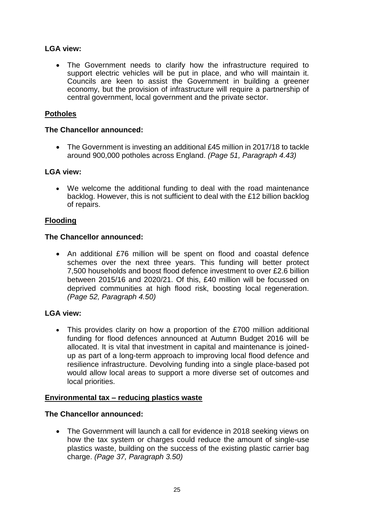The Government needs to clarify how the infrastructure required to support electric vehicles will be put in place, and who will maintain it. Councils are keen to assist the Government in building a greener economy, but the provision of infrastructure will require a partnership of central government, local government and the private sector.

# **Potholes**

#### **The Chancellor announced:**

• The Government is investing an additional £45 million in 2017/18 to tackle around 900,000 potholes across England. *(Page 51, Paragraph 4.43)*

#### **LGA view:**

 We welcome the additional funding to deal with the road maintenance backlog. However, this is not sufficient to deal with the £12 billion backlog of repairs.

#### **Flooding**

#### **The Chancellor announced:**

 An additional £76 million will be spent on flood and coastal defence schemes over the next three years. This funding will better protect 7,500 households and boost flood defence investment to over £2.6 billion between 2015/16 and 2020/21. Of this, £40 million will be focussed on deprived communities at high flood risk, boosting local regeneration. *(Page 52, Paragraph 4.50)* 

#### **LGA view:**

• This provides clarity on how a proportion of the £700 million additional funding for flood defences announced at Autumn Budget 2016 will be allocated. It is vital that investment in capital and maintenance is joinedup as part of a long-term approach to improving local flood defence and resilience infrastructure. Devolving funding into a single place-based pot would allow local areas to support a more diverse set of outcomes and local priorities.

#### **Environmental tax – reducing plastics waste**

# **The Chancellor announced:**

• The Government will launch a call for evidence in 2018 seeking views on how the tax system or charges could reduce the amount of single-use plastics waste, building on the success of the existing plastic carrier bag charge. *(Page 37, Paragraph 3.50)*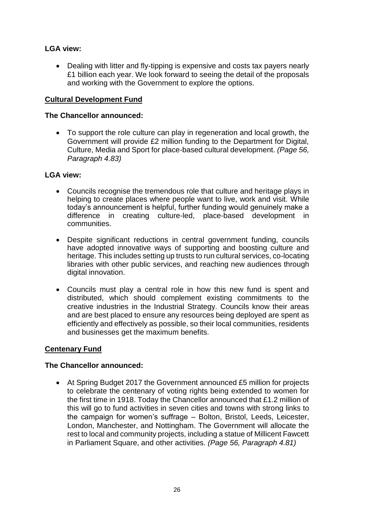• Dealing with litter and fly-tipping is expensive and costs tax payers nearly £1 billion each year. We look forward to seeing the detail of the proposals and working with the Government to explore the options.

#### **Cultural Development Fund**

#### **The Chancellor announced:**

 To support the role culture can play in regeneration and local growth, the Government will provide £2 million funding to the Department for Digital, Culture, Media and Sport for place-based cultural development. *(Page 56, Paragraph 4.83)*

#### **LGA view:**

- Councils recognise the tremendous role that culture and heritage plays in helping to create places where people want to live, work and visit. While today's announcement is helpful, further funding would genuinely make a difference in creating culture-led, place-based development in communities.
- Despite significant reductions in central government funding, councils have adopted innovative ways of supporting and boosting culture and heritage. This includes setting up trusts to run cultural services, co-locating libraries with other public services, and reaching new audiences through digital innovation.
- Councils must play a central role in how this new fund is spent and distributed, which should complement existing commitments to the creative industries in the Industrial Strategy. Councils know their areas and are best placed to ensure any resources being deployed are spent as efficiently and effectively as possible, so their local communities, residents and businesses get the maximum benefits.

#### **Centenary Fund**

#### **The Chancellor announced:**

 At Spring Budget 2017 the Government announced £5 million for projects to celebrate the centenary of voting rights being extended to women for the first time in 1918. Today the Chancellor announced that £1.2 million of this will go to fund activities in seven cities and towns with strong links to the campaign for women's suffrage – Bolton, Bristol, Leeds, Leicester, London, Manchester, and Nottingham. The Government will allocate the rest to local and community projects, including a statue of Millicent Fawcett in Parliament Square, and other activities. *(Page 56, Paragraph 4.81)*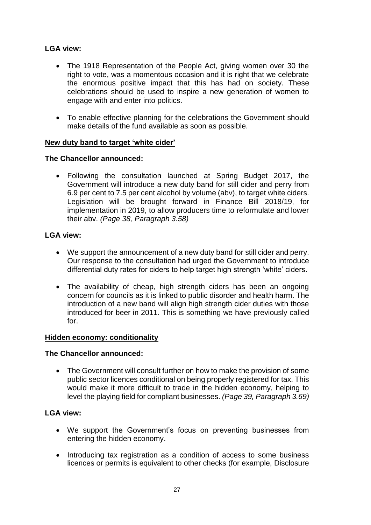- The 1918 Representation of the People Act, giving women over 30 the right to vote, was a momentous occasion and it is right that we celebrate the enormous positive impact that this has had on society. These celebrations should be used to inspire a new generation of women to engage with and enter into politics.
- To enable effective planning for the celebrations the Government should make details of the fund available as soon as possible.

# **New duty band to target 'white cider'**

#### **The Chancellor announced:**

 Following the consultation launched at Spring Budget 2017, the Government will introduce a new duty band for still cider and perry from 6.9 per cent to 7.5 per cent alcohol by volume (abv), to target white ciders. Legislation will be brought forward in Finance Bill 2018/19, for implementation in 2019, to allow producers time to reformulate and lower their abv. *(Page 38, Paragraph 3.58)*

# **LGA view:**

- We support the announcement of a new duty band for still cider and perry. Our response to the consultation had urged the Government to introduce differential duty rates for ciders to help target high strength 'white' ciders.
- The availability of cheap, high strength ciders has been an ongoing concern for councils as it is linked to public disorder and health harm. The introduction of a new band will align high strength cider duties with those introduced for beer in 2011. This is something we have previously called for.

#### **Hidden economy: conditionality**

#### **The Chancellor announced:**

 The Government will consult further on how to make the provision of some public sector licences conditional on being properly registered for tax. This would make it more difficult to trade in the hidden economy, helping to level the playing field for compliant businesses. *(Page 39, Paragraph 3.69)*

- We support the Government's focus on preventing businesses from entering the hidden economy.
- Introducing tax registration as a condition of access to some business licences or permits is equivalent to other checks (for example, Disclosure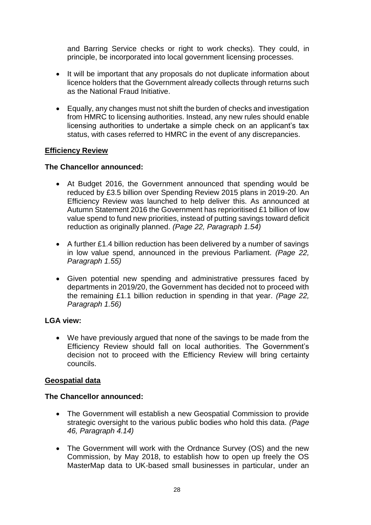and Barring Service checks or right to work checks). They could, in principle, be incorporated into local government licensing processes.

- It will be important that any proposals do not duplicate information about licence holders that the Government already collects through returns such as the National Fraud Initiative.
- Equally, any changes must not shift the burden of checks and investigation from HMRC to licensing authorities. Instead, any new rules should enable licensing authorities to undertake a simple check on an applicant's tax status, with cases referred to HMRC in the event of any discrepancies.

#### **Efficiency Review**

#### **The Chancellor announced:**

- At Budget 2016, the Government announced that spending would be reduced by £3.5 billion over Spending Review 2015 plans in 2019-20. An Efficiency Review was launched to help deliver this. As announced at Autumn Statement 2016 the Government has reprioritised £1 billion of low value spend to fund new priorities, instead of putting savings toward deficit reduction as originally planned. *(Page 22, Paragraph 1.54)*
- A further £1.4 billion reduction has been delivered by a number of savings in low value spend, announced in the previous Parliament. *(Page 22, Paragraph 1.55)*
- Given potential new spending and administrative pressures faced by departments in 2019/20, the Government has decided not to proceed with the remaining £1.1 billion reduction in spending in that year. *(Page 22, Paragraph 1.56)*

#### **LGA view:**

 We have previously argued that none of the savings to be made from the Efficiency Review should fall on local authorities. The Government's decision not to proceed with the Efficiency Review will bring certainty councils.

#### **Geospatial data**

- The Government will establish a new Geospatial Commission to provide strategic oversight to the various public bodies who hold this data. *(Page 46, Paragraph 4.14)*
- The Government will work with the Ordnance Survey (OS) and the new Commission, by May 2018, to establish how to open up freely the OS MasterMap data to UK-based small businesses in particular, under an